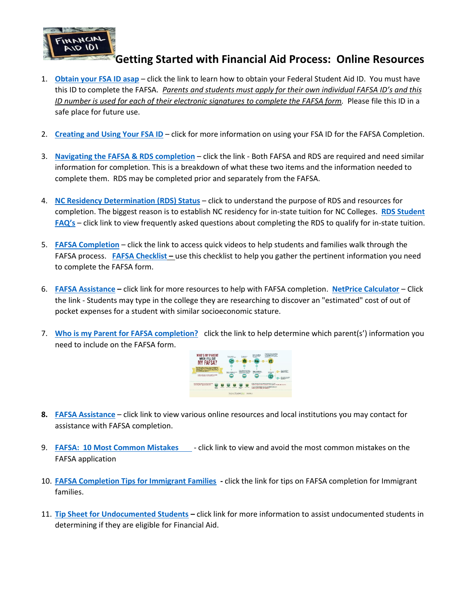

## **Getting Started with Financial Aid Process: Online Resources**

- 1. **[Obtain your FSA ID asap](https://www.cfnc.org/media/sffnn2ys/fsa-id.pdf)** click the link to learn how to obtain your Federal Student Aid ID. You must have this ID to [comple](https://creativecommons.org/licenses/by-nc-sa/3.0/)te the FAFSA. *Parents and students must apply for their own individual FAFSA ID's and this [ID n](https://creativecommons.org/licenses/by-nc-sa/3.0/)umber is used for each of their electronic signatures to complete the FAFSA form.* Please file this ID in a safe place for future use.
- 2. **[Creating and Using Your FSA ID](https://studentaid.gov/sites/default/files/creating-using-fsaid.pdf)** click for more information on using your FSA ID for the FAFSA Completion.
- 3. **[Navigating the FAFSA & RDS completion](file:///C:/Users/lhbra/OneDrive/FAAP.%20WCPSS/CFNC%20Webinars/10.1.20%20Webinar/Navigating%20FAFSA%20and%20RDS.pdf)** click the link Both FAFSA and RDS are required and need similar information for completion. This is a breakdown of what these two items and the information needed to complete them. RDS may be completed prior and separately from the FAFSA.
- 4. **[NC Residency Determination](https://youtu.be/kEvHIod7VSk) (RDS) Status** click to understand the purpose of RDS and resources for completion. The biggest reason is to establish NC residency for in-state tuition for NC Colleges. **[RDS Student](https://ncresidency.cfnc.org/residencyInfo/studentFAQ)  [FAQ](https://ncresidency.cfnc.org/residencyInfo/studentFAQ)'s** – click link to view frequently asked questions about completing the RDS to qualify for in-state tuition.
- 5. **[FAFSA Completion](https://www.youtube.com/playlist?list=PLiFGBEf0h3BDrTJ8kmcFlcGVuAvFxwrFD)** click the link to access quick videos to help students and families walk through the FAFSA process. **[FAFSA Checklist](https://www.educationquest.org/pdfs/FAFSAchecklist.pdf) –** use this checklist to help you gather the pertinent information you need to complete the FAFSA form.
- 6. **[FAFSA Assistance](https://www.cfnc.org/pay-for-college/fafsa-assistance/) –** click link for more resources to help with FAFSA completion. **[NetPrice Calculator](https://collegecost.ed.gov/net-price)** Click the link - Students may type in the college they are researching to discover an "estimated" cost of out of pocket expenses for a student with similar socioeconomic stature.
- 7. **[Who is my Parent for FAFSA completion?](https://studentaid.gov/apply-for-aid/fafsa/filling-out/parent-info)** click the link to help determine which parent(s') information you need to include on the FAFSA form.



- **8. [FAFSA Assistance](https://www.cfnc.org/pay-for-college/fafsa-assistance/)** click link to view various online resources and local institutions you may contact for assistance with FAFSA completion.
- 9. **[FAFSA: 10 Most Common Mistakes](https://handouts-live.s3.amazonaws.com/64980d8da93d4056b7ac28cd9715bffa?X-Amz-Algorithm=AWS4-HMAC-SHA256&X-Amz-Date=20201001T135557Z&X-Amz-SignedHeaders=host&X-Amz-Expires=86399&X-Amz-Credential=AKIAJICNIQWVMWBRIUMQ%2F20201001%2Fus-east-1%2Fs3%2Faws4_request&X-Amz-Signature=3c542a597e212bc5024b3e0a506c65f2ff3d41bcb2a56b7fe47c10c293d4c85e)**  click link to view and avoid the most common mistakes on the FAFSA application
- 10. **[FAFSA Completion Tips for Immigrant Families](https://www.cfnc.org/media/boobihwq/fafsa-tips-immigrant-families.pdf) -** click the link for tips on FAFSA completion for Immigrant families.
- 11. **[Tip Sheet for Undocumented Students](http://www.nasfaa.org/uploads/documents/Tip_Sheet_for_Undocumented_Students_2017.pdf) –** click link for more information to assist undocumented students in determining if they are eligible for Financial Aid.